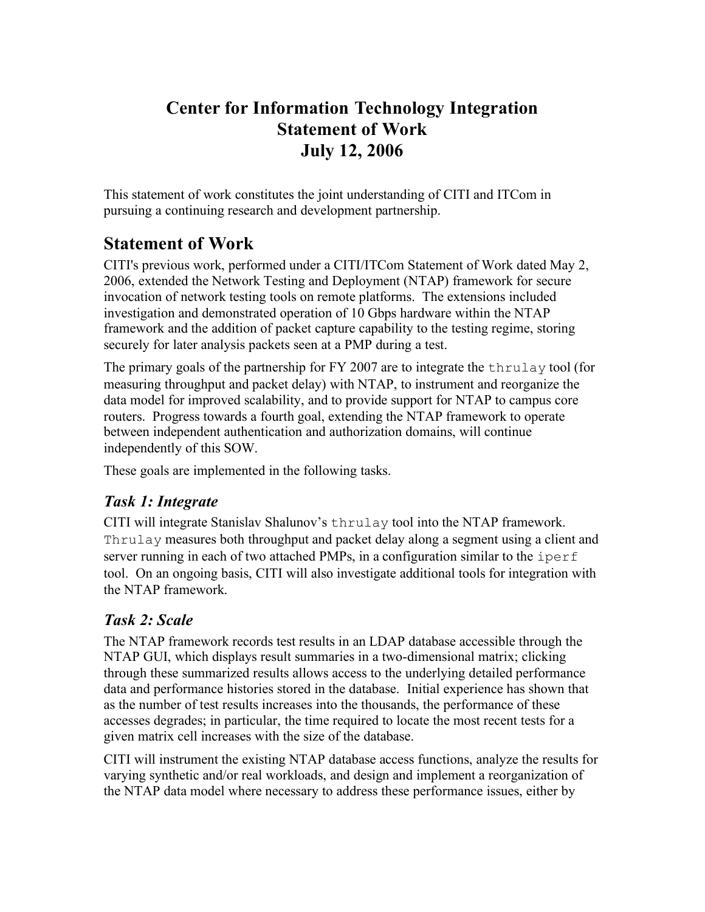# **Center for Information Technology Integration Statement of Work July 12, 2006**

This statement of work constitutes the joint understanding of CITI and ITCom in pursuing a continuing research and development partnership.

## **Statement of Work**

CITI's previous work, performed under a CITI/ITCom Statement of Work dated May 2, 2006, extended the Network Testing and Deployment (NTAP) framework for secure invocation of network testing tools on remote platforms. The extensions included investigation and demonstrated operation of 10 Gbps hardware within the NTAP framework and the addition of packet capture capability to the testing regime, storing securely for later analysis packets seen at a PMP during a test.

The primary goals of the partnership for FY 2007 are to integrate the thrulay tool (for measuring throughput and packet delay) with NTAP, to instrument and reorganize the data model for improved scalability, and to provide support for NTAP to campus core routers. Progress towards a fourth goal, extending the NTAP framework to operate between independent authentication and authorization domains, will continue independently of this SOW.

These goals are implemented in the following tasks.

### *Task 1: Integrate*

CITI will integrate Stanislav Shalunov's thrulay tool into the NTAP framework. Thrulay measures both throughput and packet delay along a segment using a client and server running in each of two attached PMPs, in a configuration similar to the iperf tool. On an ongoing basis, CITI will also investigate additional tools for integration with the NTAP framework.

### *Task 2: Scale*

The NTAP framework records test results in an LDAP database accessible through the NTAP GUI, which displays result summaries in a two-dimensional matrix; clicking through these summarized results allows access to the underlying detailed performance data and performance histories stored in the database. Initial experience has shown that as the number of test results increases into the thousands, the performance of these accesses degrades; in particular, the time required to locate the most recent tests for a given matrix cell increases with the size of the database.

CITI will instrument the existing NTAP database access functions, analyze the results for varying synthetic and/or real workloads, and design and implement a reorganization of the NTAP data model where necessary to address these performance issues, either by